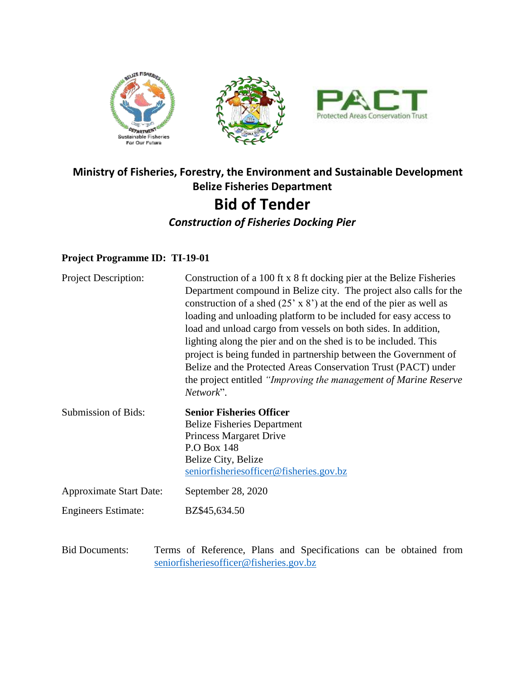

## **Ministry of Fisheries, Forestry, the Environment and Sustainable Development Belize Fisheries Department Bid of Tender** *Construction of Fisheries Docking Pier*

## **Project Programme ID: TI-19-01**

| <b>Project Description:</b>    | Construction of a 100 ft x 8 ft docking pier at the Belize Fisheries<br>Department compound in Belize city. The project also calls for the<br>construction of a shed $(25 \times 8)$ at the end of the pier as well as<br>loading and unloading platform to be included for easy access to<br>load and unload cargo from vessels on both sides. In addition,<br>lighting along the pier and on the shed is to be included. This<br>project is being funded in partnership between the Government of<br>Belize and the Protected Areas Conservation Trust (PACT) under<br>the project entitled "Improving the management of Marine Reserve"<br>Network". |
|--------------------------------|---------------------------------------------------------------------------------------------------------------------------------------------------------------------------------------------------------------------------------------------------------------------------------------------------------------------------------------------------------------------------------------------------------------------------------------------------------------------------------------------------------------------------------------------------------------------------------------------------------------------------------------------------------|
| Submission of Bids:            | <b>Senior Fisheries Officer</b><br><b>Belize Fisheries Department</b><br>Princess Margaret Drive<br>P.O Box 148<br>Belize City, Belize<br>seniorfisheries officer@fisheries.gov.bz                                                                                                                                                                                                                                                                                                                                                                                                                                                                      |
| <b>Approximate Start Date:</b> | September 28, 2020                                                                                                                                                                                                                                                                                                                                                                                                                                                                                                                                                                                                                                      |
| <b>Engineers Estimate:</b>     | BZ\$45,634.50                                                                                                                                                                                                                                                                                                                                                                                                                                                                                                                                                                                                                                           |
| <b>Bid Documents:</b>          | Terms of Reference, Plans and Specifications can be obtained from<br>seniorfisheries of ficer@fisheries.gov.bz                                                                                                                                                                                                                                                                                                                                                                                                                                                                                                                                          |